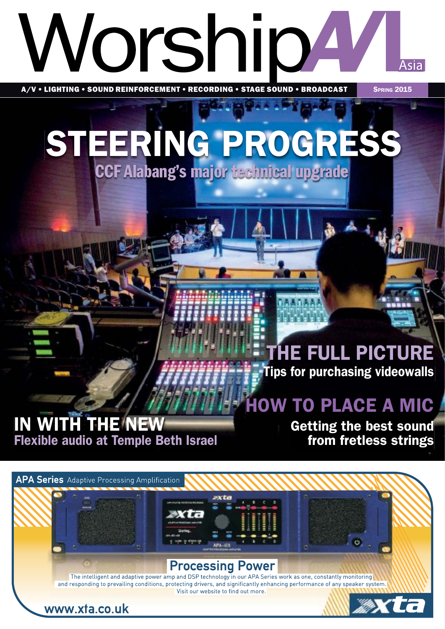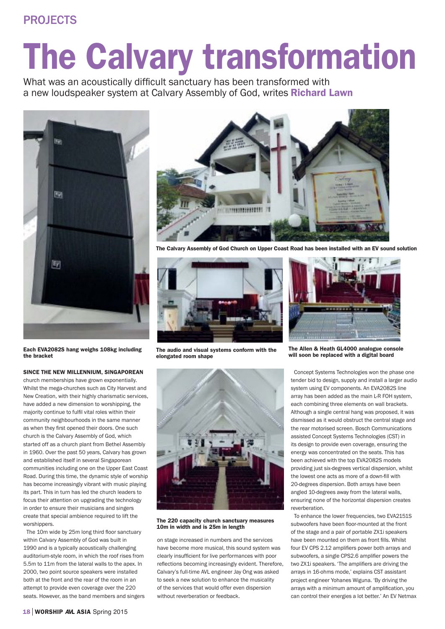## PROJECTS

## The Calvary transformation

What was an acoustically difficult sanctuary has been transformed with a new loudspeaker system at Calvary Assembly of God, writes **Richard Lawn** 





The Calvary Assembly of God Church on Upper Coast Road has been installed with an EV sound solution



The audio and visual systems conform with the elongated room shape



The 220 capacity church sanctuary measures 10m in width and is 25m in length

on stage increased in numbers and the services have become more musical, this sound system was clearly insufficient for live performances with poor reflections becoming increasingly evident. Therefore, Calvary's full-time AVL engineer Jay Ong was asked to seek a new solution to enhance the musicality of the services that would offer even dispersion without reverberation or feedback.



The Allen & Heath GL4000 analogue console will soon be replaced with a digital board

Concept Systems Technologies won the phase one tender bid to design, supply and install a larger audio system using EV components. An EVA2082S line array has been added as the main L-R FOH system, each combining three elements on wall brackets. Although a single central hang was proposed, it was dismissed as it would obstruct the central stage and the rear motorised screen. Bosch Communications assisted Concept Systems Technologies (CST) in its design to provide even coverage, ensuring the energy was concentrated on the seats. This has been achieved with the top EVA2082S models providing just six-degrees vertical dispersion, whilst the lowest one acts as more of a down-fill with 20-degrees dispersion. Both arrays have been angled 10-degrees away from the lateral walls, ensuring none of the horizontal dispersion creates reverberation.

To enhance the lower frequencies, two EVA2151S subwoofers have been floor-mounted at the front of the stage and a pair of portable ZX1i speakers have been mounted on them as front fills. Whilst four EV CPS 2.12 amplifiers power both arrays and subwoofers, a single CPS2.6 amplifier powers the two ZX1i speakers. 'The amplifiers are driving the arrays in 16-ohms mode,' explains CST assistant project engineer Yohanes Wiguna. 'By driving the arrays with a minimum amount of amplification, you can control their energies a lot better.' An EV Netmax

Each EVA2082S hang weighs 108kg including the bracket

## SINCE THE NEW MILLENNIUM, SINGAPOREAN

church memberships have grown exponentially. Whilst the mega-churches such as City Harvest and New Creation, with their highly charismatic services, have added a new dimension to worshipping, the majority continue to fulfil vital roles within their community neighbourhoods in the same manner as when they first opened their doors. One such church is the Calvary Assembly of God, which started off as a church plant from Bethel Assembly in 1960. Over the past 50 years, Calvary has grown and established itself in several Singaporean communities including one on the Upper East Coast Road. During this time, the dynamic style of worship has become increasingly vibrant with music playing its part. This in turn has led the church leaders to focus their attention on upgrading the technology in order to ensure their musicians and singers create that special ambience required to lift the worshippers.

The 10m wide by 25m long third floor sanctuary within Calvary Assembly of God was built in 1990 and is a typically acoustically challenging auditorium-style room, in which the roof rises from 5.5m to 11m from the lateral walls to the apex. In 2000, two point source speakers were installed both at the front and the rear of the room in an attempt to provide even coverage over the 220 seats. However, as the band members and singers